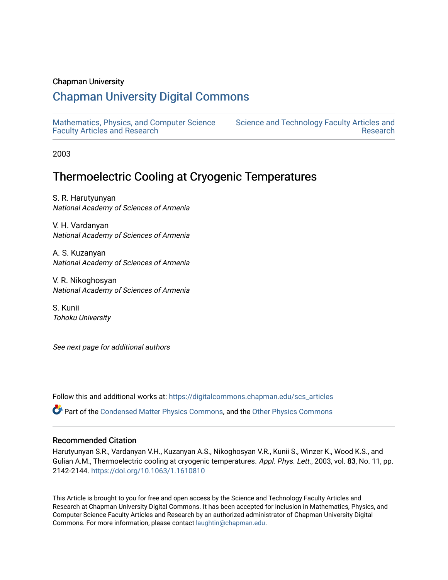#### Chapman University

### [Chapman University Digital Commons](https://digitalcommons.chapman.edu/)

[Mathematics, Physics, and Computer Science](https://digitalcommons.chapman.edu/scs_articles)  [Faculty Articles and Research](https://digitalcommons.chapman.edu/scs_articles)

[Science and Technology Faculty Articles and](https://digitalcommons.chapman.edu/science_articles)  [Research](https://digitalcommons.chapman.edu/science_articles) 

2003

## Thermoelectric Cooling at Cryogenic Temperatures

S. R. Harutyunyan National Academy of Sciences of Armenia

V. H. Vardanyan National Academy of Sciences of Armenia

A. S. Kuzanyan National Academy of Sciences of Armenia

V. R. Nikoghosyan National Academy of Sciences of Armenia

S. Kunii Tohoku University

See next page for additional authors

Follow this and additional works at: [https://digitalcommons.chapman.edu/scs\\_articles](https://digitalcommons.chapman.edu/scs_articles?utm_source=digitalcommons.chapman.edu%2Fscs_articles%2F765&utm_medium=PDF&utm_campaign=PDFCoverPages) 

Part of the [Condensed Matter Physics Commons,](http://network.bepress.com/hgg/discipline/197?utm_source=digitalcommons.chapman.edu%2Fscs_articles%2F765&utm_medium=PDF&utm_campaign=PDFCoverPages) and the [Other Physics Commons](http://network.bepress.com/hgg/discipline/207?utm_source=digitalcommons.chapman.edu%2Fscs_articles%2F765&utm_medium=PDF&utm_campaign=PDFCoverPages) 

#### Recommended Citation

Harutyunyan S.R., Vardanyan V.H., Kuzanyan A.S., Nikoghosyan V.R., Kunii S., Winzer K., Wood K.S., and Gulian A.M., Thermoelectric cooling at cryogenic temperatures. Appl. Phys. Lett., 2003, vol. 83, No. 11, pp. 2142-2144. <https://doi.org/10.1063/1.1610810>

This Article is brought to you for free and open access by the Science and Technology Faculty Articles and Research at Chapman University Digital Commons. It has been accepted for inclusion in Mathematics, Physics, and Computer Science Faculty Articles and Research by an authorized administrator of Chapman University Digital Commons. For more information, please contact [laughtin@chapman.edu.](mailto:laughtin@chapman.edu)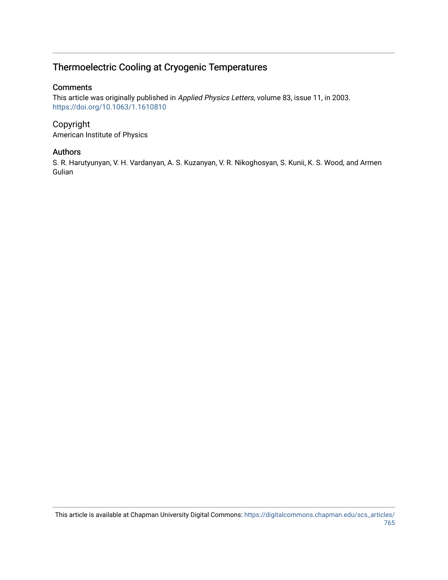### Thermoelectric Cooling at Cryogenic Temperatures

#### **Comments**

This article was originally published in Applied Physics Letters, volume 83, issue 11, in 2003. <https://doi.org/10.1063/1.1610810>

# Copyright

American Institute of Physics

#### Authors

S. R. Harutyunyan, V. H. Vardanyan, A. S. Kuzanyan, V. R. Nikoghosyan, S. Kunii, K. S. Wood, and Armen Gulian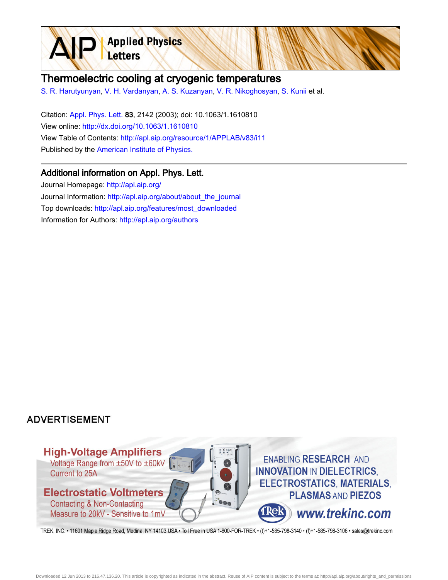**Applied Physics** Letters

### Thermoelectric cooling at cryogenic temperatures

[S. R. Harutyunyan,](http://apl.aip.org/search?sortby=newestdate&q=&searchzone=2&searchtype=searchin&faceted=faceted&key=AIP_ALL&possible1=S. R. Harutyunyan&possible1zone=author&alias=&displayid=AIP&ver=pdfcov) [V. H. Vardanyan](http://apl.aip.org/search?sortby=newestdate&q=&searchzone=2&searchtype=searchin&faceted=faceted&key=AIP_ALL&possible1=V. H. Vardanyan&possible1zone=author&alias=&displayid=AIP&ver=pdfcov), [A. S. Kuzanyan,](http://apl.aip.org/search?sortby=newestdate&q=&searchzone=2&searchtype=searchin&faceted=faceted&key=AIP_ALL&possible1=A. S. Kuzanyan&possible1zone=author&alias=&displayid=AIP&ver=pdfcov) [V. R. Nikoghosyan](http://apl.aip.org/search?sortby=newestdate&q=&searchzone=2&searchtype=searchin&faceted=faceted&key=AIP_ALL&possible1=V. R. Nikoghosyan&possible1zone=author&alias=&displayid=AIP&ver=pdfcov), [S. Kunii](http://apl.aip.org/search?sortby=newestdate&q=&searchzone=2&searchtype=searchin&faceted=faceted&key=AIP_ALL&possible1=S. Kunii&possible1zone=author&alias=&displayid=AIP&ver=pdfcov) et al.

Citation: [Appl. Phys. Lett. 8](http://apl.aip.org/?ver=pdfcov)3, 2142 (2003); doi: 10.1063/1.1610810 View online: [http://dx.doi.org/10.1063/1.1610810](http://link.aip.org/link/doi/10.1063/1.1610810?ver=pdfcov) View Table of Contents: [http://apl.aip.org/resource/1/APPLAB/v83/i11](http://apl.aip.org/resource/1/APPLAB/v83/i11?ver=pdfcov) Published by the [American Institute of Physics.](http://www.aip.org/?ver=pdfcov)

### Additional information on Appl. Phys. Lett.

Journal Homepage: [http://apl.aip.org/](http://apl.aip.org/?ver=pdfcov) Journal Information: [http://apl.aip.org/about/about\\_the\\_journal](http://apl.aip.org/about/about_the_journal?ver=pdfcov) Top downloads: [http://apl.aip.org/features/most\\_downloaded](http://apl.aip.org/features/most_downloaded?ver=pdfcov) Information for Authors: [http://apl.aip.org/authors](http://apl.aip.org/authors?ver=pdfcov)

### **ADVERTISEMENT**



TREK, INC. • 11601 Maple Ridge Road, Medina, NY 14103 USA • Toll Free in USA 1-800-FOR-TREK • (t)+1-585-798-3140 • (f)+1-585-798-3106 • sales@trekinc.com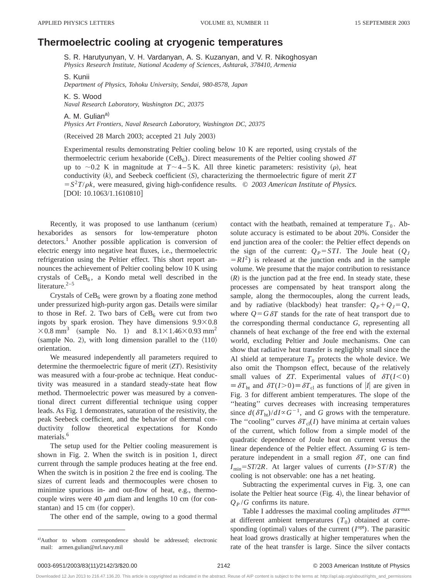#### **Thermoelectric cooling at cryogenic temperatures**

S. R. Harutyunyan, V. H. Vardanyan, A. S. Kuzanyan, and V. R. Nikoghosyan *Physics Research Institute, National Academy of Sciences, Ashtarak, 378410, Armenia*

S. Kunii *Department of Physics, Tohoku University, Sendai, 980-8578, Japan*

K. S. Wood *Naval Research Laboratory, Washington DC, 20375*

A. M. Gulian<sup>a)</sup> *Physics Art Frontiers, Naval Research Laboratory, Washington DC, 20375*

(Received 28 March 2003; accepted 21 July 2003)

Experimental results demonstrating Peltier cooling below 10 K are reported, using crystals of the thermoelectric cerium hexaboride (CeB<sub>6</sub>). Direct measurements of the Peltier cooling showed  $\delta T$ up to  $\sim$  0.2 K in magnitude at *T* $\sim$  4 – 5 K. All three kinetic parameters: resistivity ( $\rho$ ), heat conductivity  $(k)$ , and Seebeck coefficient  $(S)$ , characterizing the thermoelectric figure of merit *ZT*  $=$   $S^2T/\rho k$ , were measured, giving high-confidence results.  $\odot$  2003 American Institute of Physics.  $[DOI: 10.1063/1.1610810]$ 

Recently, it was proposed to use lanthanum (cerium) hexaborides as sensors for low-temperature photon detectors.<sup>1</sup> Another possible application is conversion of electric energy into negative heat fluxes, i.e., thermoelectric refrigeration using the Peltier effect. This short report announces the achievement of Peltier cooling below 10 K using crystals of  $CeB_6$ , a Kondo metal well described in the literature. $2-5$ 

Crystals of  $CeB_6$  were grown by a floating zone method under pressurized high-purity argon gas. Details were similar to those in Ref. 2. Two bars of  $CeB_6$  were cut from two ingots by spark erosion. They have dimensions  $9.9 \times 0.8$  $\times$ 0.8 mm<sup>3</sup> (sample No. 1) and 8.1 $\times$ 1.46 $\times$ 0.93 mm<sup>2</sup> (sample No. 2), with long dimension parallel to the  $\langle 110 \rangle$ orientation.

We measured independently all parameters required to determine the thermoelectric figure of merit  $(ZT)$ . Resistivity was measured with a four-probe ac technique. Heat conductivity was measured in a standard steady-state heat flow method. Thermoelectric power was measured by a conventional direct current differential technique using copper leads. As Fig. 1 demonstrates, saturation of the resistivity, the peak Seebeck coefficient, and the behavior of thermal conductivity follow theoretical expectations for Kondo materials.<sup>6</sup>

The setup used for the Peltier cooling measurement is shown in Fig. 2. When the switch is in position 1, direct current through the sample produces heating at the free end. When the switch is in position 2 the free end is cooling. The sizes of current leads and thermocouples were chosen to minimize spurious in- and out-flow of heat, e.g., thermocouple wires were 40  $\mu$ m diam and lengths 10 cm (for constantan) and 15 cm (for copper).

The other end of the sample, owing to a good thermal

contact with the heatbath, remained at temperature  $T_0$ . Absolute accuracy is estimated to be about 20%. Consider the end junction area of the cooler: the Peltier effect depends on the sign of the current:  $Q_P = STI$ . The Joule heat  $(Q_J)$  $=RI^2$ ) is released at the junction ends and in the sample volume. We presume that the major contribution to resistance  $(R)$  is the junction pad at the free end. In steady state, these processes are compensated by heat transport along the sample, along the thermocouples, along the current leads, and by radiative (blackbody) heat transfer:  $Q_P + Q_J = Q$ , where  $Q = G \delta T$  stands for the rate of heat transport due to the corresponding thermal conductance *G*, representing all channels of heat exchange of the free end with the external world, excluding Peltier and Joule mechanisms. One can show that radiative heat transfer is negligibly small since the Al shield at temperature  $T_0$  protects the whole device. We also omit the Thompson effect, because of the relatively small values of *ZT*. Experimental values of  $\delta T(I<0)$  $\equiv \delta T_{\text{ht}}$  and  $\delta T(I>0) \equiv \delta T_{\text{cl}}$  as functions of |*I*| are given in Fig. 3 for different ambient temperatures. The slope of the ''heating'' curves decreases with increasing temperatures since  $d(\delta T_{\text{ht}})/dI \propto G^{-1}$ , and *G* grows with the temperature. The "cooling" curves  $\delta T_{cl}(I)$  have minima at certain values of the current, which follow from a simple model of the quadratic dependence of Joule heat on current versus the linear dependence of the Peltier effect. Assuming *G* is temperature independent in a small region  $\delta T$ , one can find  $I_{\text{min}}=ST/2R$ . At larger values of currents ( $I \geq S T/R$ ) the cooling is not observable: one has a net heating.

Subtracting the experimental curves in Fig. 3, one can isolate the Peltier heat source  $(Fig. 4)$ , the linear behavior of  $Q_P/G$  confirms its nature.

Table I addresses the maximal cooling amplitudes  $\delta T^{\text{max}}$ at different ambient temperatures  $(T_0)$  obtained at corresponding (optimal) values of the current  $(I^{opt})$ . The parasitic heat load grows drastically at higher temperatures when the rate of the heat transfer is large. Since the silver contacts

a)Author to whom correspondence should be addressed; electronic mail: armen.gulian@nrl.navy.mil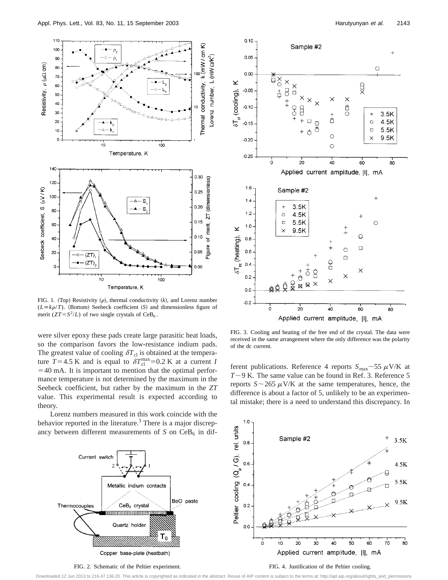

FIG. 1. (Top) Resistivity  $(\rho)$ , thermal conductivity  $(k)$ , and Lorenz number  $(L \equiv k\rho/T)$ . (Bottom) Seebeck coefficient (S) and dimensionless figure of merit ( $ZT = S^2/L$ ) of two single crystals of CeB<sub>6</sub>.

were silver epoxy these pads create large parasitic heat loads, so the comparison favors the low-resistance indium pads. The greatest value of cooling  $\delta T_{\text{cl}}$  is obtained at the temperature  $T=4.5$  K and is equal to  $\delta T_{\text{cl}}^{\text{max}}=0.2$  K at a current *I*  $=40$  mA. It is important to mention that the optimal performance temperature is not determined by the maximum in the Seebeck coefficient, but rather by the maximum in the *ZT* value. This experimental result is expected according to theory.

Lorenz numbers measured in this work coincide with the behavior reported in the literature.<sup>3</sup> There is a major discrepancy between different measurements of  $S$  on  $CeB<sub>6</sub>$  in dif-



FIG. 2. Schematic of the Peltier experiment.



FIG. 3. Cooling and heating of the free end of the crystal. The data were received in the same arrangement where the only difference was the polarity of the dc current.

ferent publications. Reference 4 reports  $S_{\text{max}}$  ~55  $\mu$ V/K at  $T \sim 9$  K. The same value can be found in Ref. 3. Reference 5 reports  $S \sim 265 \mu$ V/K at the same temperatures, hence, the difference is about a factor of 5, unlikely to be an experimental mistake; there is a need to understand this discrepancy. In



#### FIG. 4. Justification of the Peltier cooling.

Downloaded 12 Jun 2013 to 216.47.136.20. This article is copyrighted as indicated in the abstract. Reuse of AIP content is subject to the terms at: http://apl.aip.org/about/rights\_and\_permissions